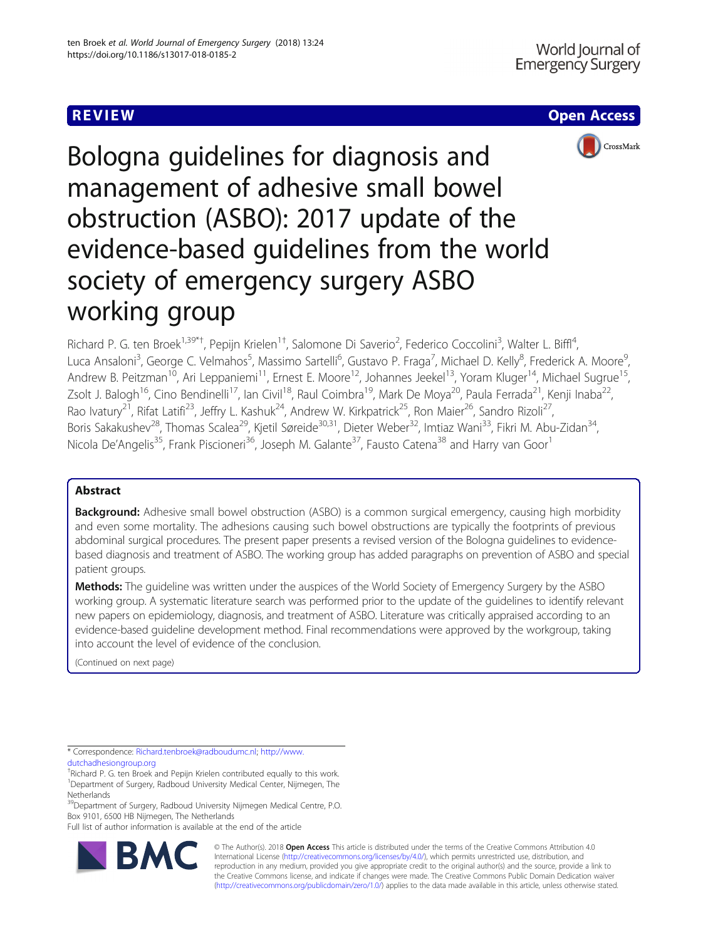# REVIEW AND REVIEW IN THE SERVICE OF THE SERVICE OF THE SERVICE OF THE SERVICE OF THE SERVICE OF THE SERVICE OF



Bologna guidelines for diagnosis and management of adhesive small bowel obstruction (ASBO): 2017 update of the evidence-based guidelines from the world society of emergency surgery ASBO working group

Richard P. G. ten Broek<sup>1,39\*†</sup>, Pepijn Krielen<sup>1†</sup>, Salomone Di Saverio<sup>2</sup>, Federico Coccolini<sup>3</sup>, Walter L. Biffl<sup>4</sup> , Luca Ansaloni<sup>3</sup>, George C. Velmahos<sup>5</sup>, Massimo Sartelli<sup>6</sup>, Gustavo P. Fraga<sup>7</sup>, Michael D. Kelly<sup>8</sup>, Frederick A. Moore<sup>s</sup> , Andrew B. Peitzman<sup>10</sup>, Ari Leppaniemi<sup>11</sup>, Ernest E. Moore<sup>12</sup>, Johannes Jeekel<sup>13</sup>, Yoram Kluger<sup>14</sup>, Michael Sugrue<sup>15</sup>, Zsolt J. Balogh<sup>16</sup>, Cino Bendinelli<sup>17</sup>, Ian Civil<sup>18</sup>, Raul Coimbra<sup>19</sup>, Mark De Moya<sup>20</sup>, Paula Ferrada<sup>21</sup>, Kenji Inaba<sup>22</sup>, Rao Ivatury<sup>21</sup>, Rifat Latifi<sup>23</sup>, Jeffry L. Kashuk<sup>24</sup>, Andrew W. Kirkpatrick<sup>25</sup>, Ron Maier<sup>26</sup>, Sandro Rizoli<sup>27</sup>, Boris Sakakushev<sup>28</sup>, Thomas Scalea<sup>29</sup>, Kjetil Søreide<sup>30,31</sup>, Dieter Weber<sup>32</sup>, Imtiaz Wani<sup>33</sup>, Fikri M. Abu-Zidan<sup>34</sup>, Nicola De'Angelis<sup>35</sup>, Frank Piscioneri<sup>36</sup>, Joseph M. Galante<sup>37</sup>, Fausto Catena<sup>38</sup> and Harry van Goor<sup>1</sup>

# Abstract

Background: Adhesive small bowel obstruction (ASBO) is a common surgical emergency, causing high morbidity and even some mortality. The adhesions causing such bowel obstructions are typically the footprints of previous abdominal surgical procedures. The present paper presents a revised version of the Bologna guidelines to evidencebased diagnosis and treatment of ASBO. The working group has added paragraphs on prevention of ASBO and special patient groups.

Methods: The quideline was written under the auspices of the World Society of Emergency Surgery by the ASBO working group. A systematic literature search was performed prior to the update of the guidelines to identify relevant new papers on epidemiology, diagnosis, and treatment of ASBO. Literature was critically appraised according to an evidence-based guideline development method. Final recommendations were approved by the workgroup, taking into account the level of evidence of the conclusion.

(Continued on next page)

\* Correspondence: [Richard.tenbroek@radboudumc.nl;](mailto:Richard.tenbroek@radboudumc.nl) [http://www.](http://www.dutchadhesiongroup.org) [dutchadhesiongroup.org](http://www.dutchadhesiongroup.org)

<sup>39</sup>Department of Surgery, Radboud University Nijmegen Medical Centre, P.O. Box 9101, 6500 HB Nijmegen, The Netherlands

Full list of author information is available at the end of the article



© The Author(s). 2018 Open Access This article is distributed under the terms of the Creative Commons Attribution 4.0 International License [\(http://creativecommons.org/licenses/by/4.0/](http://creativecommons.org/licenses/by/4.0/)), which permits unrestricted use, distribution, and reproduction in any medium, provided you give appropriate credit to the original author(s) and the source, provide a link to the Creative Commons license, and indicate if changes were made. The Creative Commons Public Domain Dedication waiver [\(http://creativecommons.org/publicdomain/zero/1.0/](http://creativecommons.org/publicdomain/zero/1.0/)) applies to the data made available in this article, unless otherwise stated.

<sup>†</sup> Richard P. G. ten Broek and Pepijn Krielen contributed equally to this work. <sup>1</sup>Department of Surgery, Radboud University Medical Center, Nijmegen, The Netherlands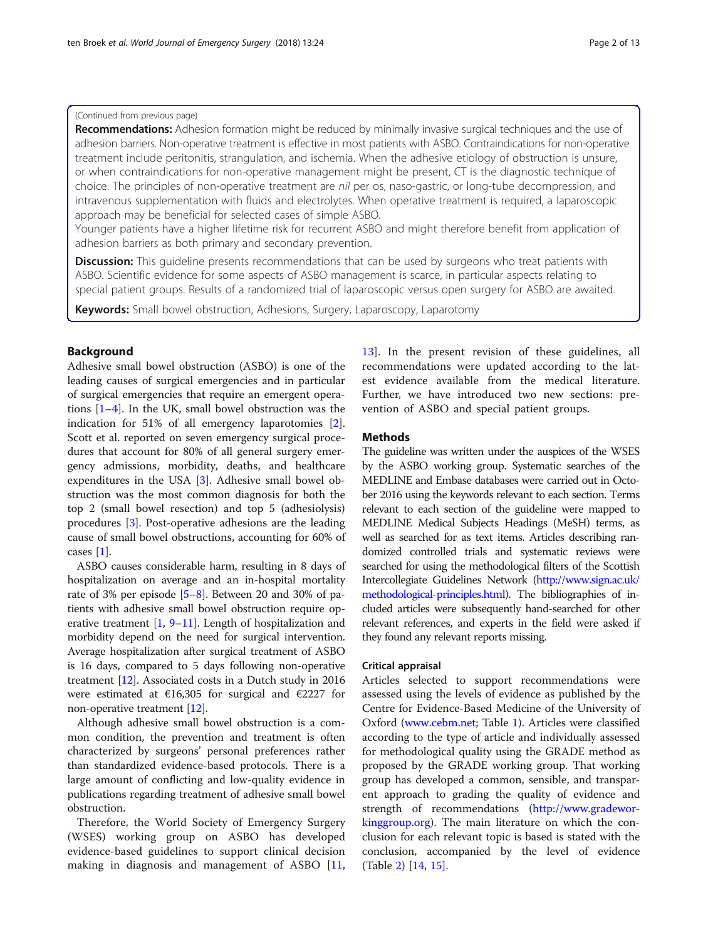#### (Continued from previous page)

Recommendations: Adhesion formation might be reduced by minimally invasive surgical techniques and the use of adhesion barriers. Non-operative treatment is effective in most patients with ASBO. Contraindications for non-operative treatment include peritonitis, strangulation, and ischemia. When the adhesive etiology of obstruction is unsure, or when contraindications for non-operative management might be present, CT is the diagnostic technique of choice. The principles of non-operative treatment are nil per os, naso-gastric, or long-tube decompression, and intravenous supplementation with fluids and electrolytes. When operative treatment is required, a laparoscopic approach may be beneficial for selected cases of simple ASBO.

Younger patients have a higher lifetime risk for recurrent ASBO and might therefore benefit from application of adhesion barriers as both primary and secondary prevention.

**Discussion:** This quideline presents recommendations that can be used by surgeons who treat patients with ASBO. Scientific evidence for some aspects of ASBO management is scarce, in particular aspects relating to special patient groups. Results of a randomized trial of laparoscopic versus open surgery for ASBO are awaited.

Keywords: Small bowel obstruction, Adhesions, Surgery, Laparoscopy, Laparotomy

# Background

Adhesive small bowel obstruction (ASBO) is one of the leading causes of surgical emergencies and in particular of surgical emergencies that require an emergent operations [\[1](#page-10-0)–[4](#page-10-0)]. In the UK, small bowel obstruction was the indication for 51% of all emergency laparotomies [\[2](#page-10-0)]. Scott et al. reported on seven emergency surgical procedures that account for 80% of all general surgery emergency admissions, morbidity, deaths, and healthcare expenditures in the USA [\[3\]](#page-10-0). Adhesive small bowel obstruction was the most common diagnosis for both the top 2 (small bowel resection) and top 5 (adhesiolysis) procedures [[3\]](#page-10-0). Post-operative adhesions are the leading cause of small bowel obstructions, accounting for 60% of cases [[1\]](#page-10-0).

ASBO causes considerable harm, resulting in 8 days of hospitalization on average and an in-hospital mortality rate of 3% per episode [\[5](#page-10-0)–[8\]](#page-10-0). Between 20 and 30% of patients with adhesive small bowel obstruction require operative treatment  $[1, 9-11]$  $[1, 9-11]$  $[1, 9-11]$  $[1, 9-11]$  $[1, 9-11]$ . Length of hospitalization and morbidity depend on the need for surgical intervention. Average hospitalization after surgical treatment of ASBO is 16 days, compared to 5 days following non-operative treatment [\[12\]](#page-10-0). Associated costs in a Dutch study in 2016 were estimated at  $€16,305$  for surgical and  $€2227$  for non-operative treatment [\[12\]](#page-10-0).

Although adhesive small bowel obstruction is a common condition, the prevention and treatment is often characterized by surgeons' personal preferences rather than standardized evidence-based protocols. There is a large amount of conflicting and low-quality evidence in publications regarding treatment of adhesive small bowel obstruction.

Therefore, the World Society of Emergency Surgery (WSES) working group on ASBO has developed evidence-based guidelines to support clinical decision making in diagnosis and management of ASBO [\[11](#page-10-0),

[13\]](#page-10-0). In the present revision of these guidelines, all recommendations were updated according to the latest evidence available from the medical literature. Further, we have introduced two new sections: prevention of ASBO and special patient groups.

# **Methods**

The guideline was written under the auspices of the WSES by the ASBO working group. Systematic searches of the MEDLINE and Embase databases were carried out in October 2016 using the keywords relevant to each section. Terms relevant to each section of the guideline were mapped to MEDLINE Medical Subjects Headings (MeSH) terms, as well as searched for as text items. Articles describing randomized controlled trials and systematic reviews were searched for using the methodological filters of the Scottish Intercollegiate Guidelines Network [\(http://www.sign.ac.uk/](http://www.sign.ac.uk/methodological-principles.html) [methodological-principles.html](http://www.sign.ac.uk/methodological-principles.html)). The bibliographies of included articles were subsequently hand-searched for other relevant references, and experts in the field were asked if they found any relevant reports missing.

#### Critical appraisal

Articles selected to support recommendations were assessed using the levels of evidence as published by the Centre for Evidence-Based Medicine of the University of Oxford [\(www.cebm.net](http://www.cebm.net); Table [1](#page-2-0)). Articles were classified according to the type of article and individually assessed for methodological quality using the GRADE method as proposed by the GRADE working group. That working group has developed a common, sensible, and transparent approach to grading the quality of evidence and strength of recommendations [\(http://www.gradewor](http://www.gradeworkinggroup.org)[kinggroup.org\)](http://www.gradeworkinggroup.org). The main literature on which the conclusion for each relevant topic is based is stated with the conclusion, accompanied by the level of evidence (Table [2\)](#page-2-0) [\[14](#page-10-0), [15\]](#page-10-0).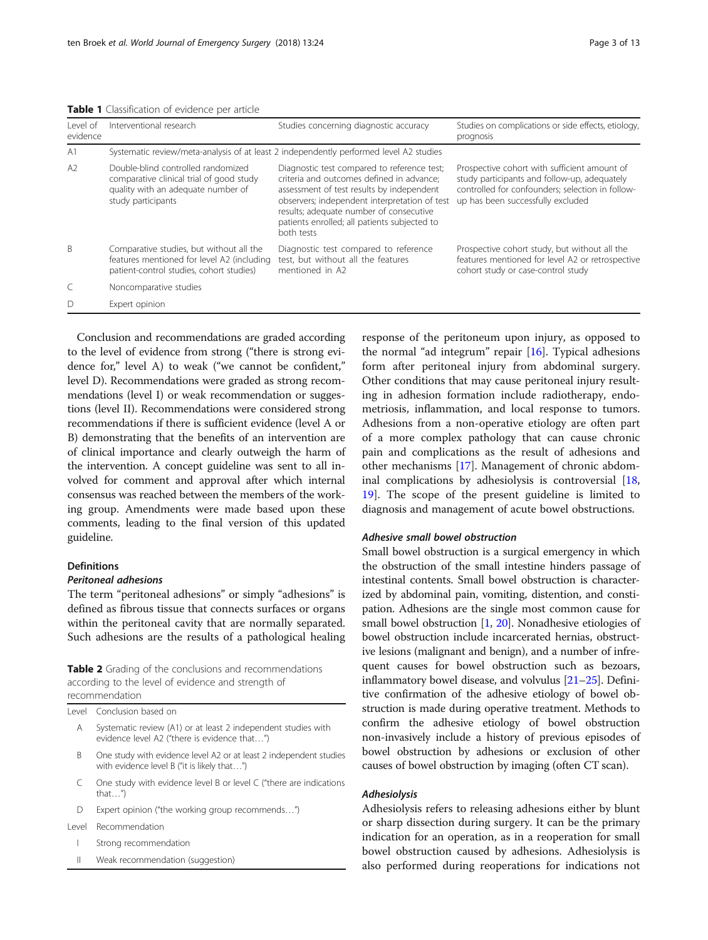<span id="page-2-0"></span>Table 1 Classification of evidence per article

| l evel of<br>evidence | Interventional research                                                                                                                    | Studies concerning diagnostic accuracy                                                                                                                                                                                                                                                          | Studies on complications or side effects, etiology,<br>prognosis                                                                                                                      |
|-----------------------|--------------------------------------------------------------------------------------------------------------------------------------------|-------------------------------------------------------------------------------------------------------------------------------------------------------------------------------------------------------------------------------------------------------------------------------------------------|---------------------------------------------------------------------------------------------------------------------------------------------------------------------------------------|
| A <sub>1</sub>        |                                                                                                                                            | Systematic review/meta-analysis of at least 2 independently performed level A2 studies                                                                                                                                                                                                          |                                                                                                                                                                                       |
| A2                    | Double-blind controlled randomized<br>comparative clinical trial of good study<br>quality with an adequate number of<br>study participants | Diagnostic test compared to reference test;<br>criteria and outcomes defined in advance:<br>assessment of test results by independent<br>observers; independent interpretation of test<br>results; adequate number of consecutive<br>patients enrolled; all patients subjected to<br>both tests | Prospective cohort with sufficient amount of<br>study participants and follow-up, adequately<br>controlled for confounders; selection in follow-<br>up has been successfully excluded |
| <sub>B</sub>          | Comparative studies, but without all the<br>features mentioned for level A2 (including<br>patient-control studies, cohort studies)         | Diagnostic test compared to reference<br>test, but without all the features<br>mentioned in A2                                                                                                                                                                                                  | Prospective cohort study, but without all the<br>features mentioned for level A2 or retrospective<br>cohort study or case-control study                                               |
|                       | Noncomparative studies                                                                                                                     |                                                                                                                                                                                                                                                                                                 |                                                                                                                                                                                       |
|                       | Expert opinion                                                                                                                             |                                                                                                                                                                                                                                                                                                 |                                                                                                                                                                                       |

Conclusion and recommendations are graded according to the level of evidence from strong ("there is strong evidence for," level A) to weak ("we cannot be confident," level D). Recommendations were graded as strong recommendations (level I) or weak recommendation or suggestions (level II). Recommendations were considered strong recommendations if there is sufficient evidence (level A or B) demonstrating that the benefits of an intervention are of clinical importance and clearly outweigh the harm of the intervention. A concept guideline was sent to all involved for comment and approval after which internal consensus was reached between the members of the working group. Amendments were made based upon these comments, leading to the final version of this updated guideline.

### Definitions

#### Peritoneal adhesions

The term "peritoneal adhesions" or simply "adhesions" is defined as fibrous tissue that connects surfaces or organs within the peritoneal cavity that are normally separated. Such adhesions are the results of a pathological healing

Table 2 Grading of the conclusions and recommendations according to the level of evidence and strength of recommendation

| Level Conclusion based on |  |
|---------------------------|--|
|---------------------------|--|

- A Systematic review (A1) or at least 2 independent studies with evidence level A2 ("there is evidence that…")
- One study with evidence level A2 or at least 2 independent studies with evidence level B ("it is likely that…")
- C One study with evidence level B or level C ("there are indications that…")
- D Expert opinion ("the working group recommends…")
- Level Recommendation
	- I Strong recommendation
	- II Weak recommendation (suggestion)

response of the peritoneum upon injury, as opposed to the normal "ad integrum" repair  $[16]$  $[16]$ . Typical adhesions form after peritoneal injury from abdominal surgery. Other conditions that may cause peritoneal injury resulting in adhesion formation include radiotherapy, endometriosis, inflammation, and local response to tumors. Adhesions from a non-operative etiology are often part of a more complex pathology that can cause chronic pain and complications as the result of adhesions and other mechanisms [[17](#page-10-0)]. Management of chronic abdominal complications by adhesiolysis is controversial [[18](#page-10-0), [19\]](#page-10-0). The scope of the present guideline is limited to diagnosis and management of acute bowel obstructions.

# Adhesive small bowel obstruction

Small bowel obstruction is a surgical emergency in which the obstruction of the small intestine hinders passage of intestinal contents. Small bowel obstruction is characterized by abdominal pain, vomiting, distention, and constipation. Adhesions are the single most common cause for small bowel obstruction [[1](#page-10-0), [20](#page-10-0)]. Nonadhesive etiologies of bowel obstruction include incarcerated hernias, obstructive lesions (malignant and benign), and a number of infrequent causes for bowel obstruction such as bezoars, inflammatory bowel disease, and volvulus [\[21](#page-10-0)–[25\]](#page-10-0). Definitive confirmation of the adhesive etiology of bowel obstruction is made during operative treatment. Methods to confirm the adhesive etiology of bowel obstruction non-invasively include a history of previous episodes of bowel obstruction by adhesions or exclusion of other causes of bowel obstruction by imaging (often CT scan).

#### Adhesiolysis

Adhesiolysis refers to releasing adhesions either by blunt or sharp dissection during surgery. It can be the primary indication for an operation, as in a reoperation for small bowel obstruction caused by adhesions. Adhesiolysis is also performed during reoperations for indications not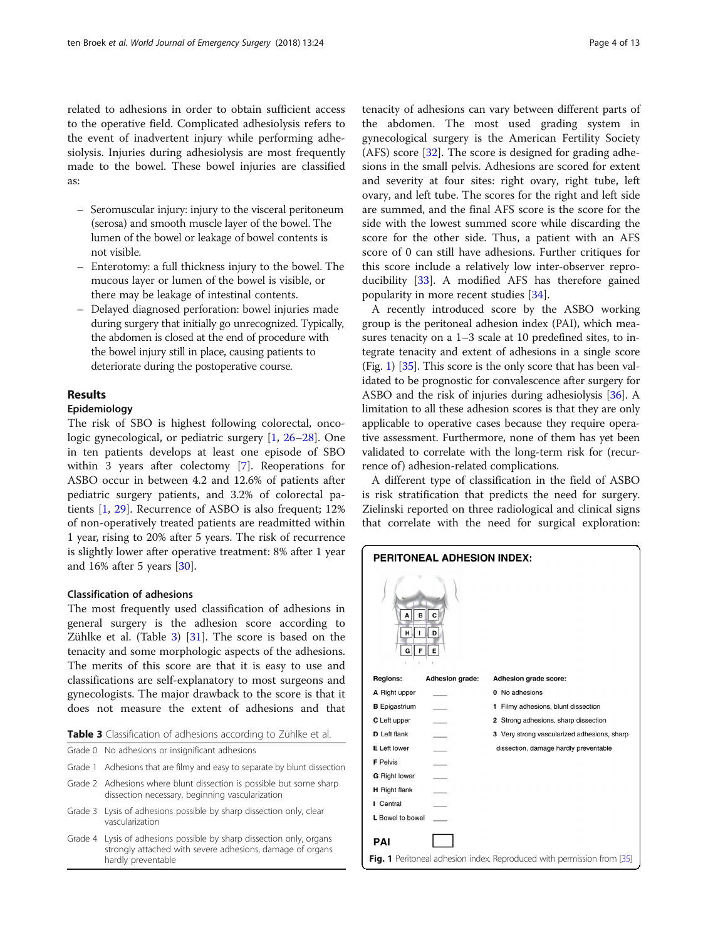related to adhesions in order to obtain sufficient access to the operative field. Complicated adhesiolysis refers to the event of inadvertent injury while performing adhesiolysis. Injuries during adhesiolysis are most frequently made to the bowel. These bowel injuries are classified as:

- Seromuscular injury: injury to the visceral peritoneum (serosa) and smooth muscle layer of the bowel. The lumen of the bowel or leakage of bowel contents is not visible.
- Enterotomy: a full thickness injury to the bowel. The mucous layer or lumen of the bowel is visible, or there may be leakage of intestinal contents.
- Delayed diagnosed perforation: bowel injuries made during surgery that initially go unrecognized. Typically, the abdomen is closed at the end of procedure with the bowel injury still in place, causing patients to deteriorate during the postoperative course.

# Results

#### Epidemiology

The risk of SBO is highest following colorectal, oncologic gynecological, or pediatric surgery [\[1](#page-10-0), [26](#page-10-0)–[28](#page-11-0)]. One in ten patients develops at least one episode of SBO within 3 years after colectomy [[7\]](#page-10-0). Reoperations for ASBO occur in between 4.2 and 12.6% of patients after pediatric surgery patients, and 3.2% of colorectal patients [[1,](#page-10-0) [29](#page-11-0)]. Recurrence of ASBO is also frequent; 12% of non-operatively treated patients are readmitted within 1 year, rising to 20% after 5 years. The risk of recurrence is slightly lower after operative treatment: 8% after 1 year and 16% after 5 years [\[30](#page-11-0)].

#### Classification of adhesions

The most frequently used classification of adhesions in general surgery is the adhesion score according to Zühlke et al. (Table 3) [[31\]](#page-11-0). The score is based on the tenacity and some morphologic aspects of the adhesions. The merits of this score are that it is easy to use and classifications are self-explanatory to most surgeons and gynecologists. The major drawback to the score is that it does not measure the extent of adhesions and that

| <b>Table 3</b> Classification of adhesions according to Zühlke et al. |  |  |  |  |  |  |  |  |
|-----------------------------------------------------------------------|--|--|--|--|--|--|--|--|
|-----------------------------------------------------------------------|--|--|--|--|--|--|--|--|

|  |  | Grade 0 No adhesions or insignificant adhesions |  |
|--|--|-------------------------------------------------|--|
|--|--|-------------------------------------------------|--|

- Grade 1 Adhesions that are filmy and easy to separate by blunt dissection
- Grade 2 Adhesions where blunt dissection is possible but some sharp dissection necessary, beginning vascularization
- Grade 3 Lysis of adhesions possible by sharp dissection only, clear vascularization
- Grade 4 Lysis of adhesions possible by sharp dissection only, organs strongly attached with severe adhesions, damage of organs

tenacity of adhesions can vary between different parts of the abdomen. The most used grading system in gynecological surgery is the American Fertility Society (AFS) score  $[32]$  $[32]$ . The score is designed for grading adhesions in the small pelvis. Adhesions are scored for extent and severity at four sites: right ovary, right tube, left ovary, and left tube. The scores for the right and left side are summed, and the final AFS score is the score for the side with the lowest summed score while discarding the score for the other side. Thus, a patient with an AFS score of 0 can still have adhesions. Further critiques for this score include a relatively low inter-observer reproducibility [\[33](#page-11-0)]. A modified AFS has therefore gained popularity in more recent studies [\[34](#page-11-0)].

A recently introduced score by the ASBO working group is the peritoneal adhesion index (PAI), which measures tenacity on a 1–3 scale at 10 predefined sites, to integrate tenacity and extent of adhesions in a single score (Fig. 1)  $[35]$  $[35]$ . This score is the only score that has been validated to be prognostic for convalescence after surgery for ASBO and the risk of injuries during adhesiolysis [\[36\]](#page-11-0). A limitation to all these adhesion scores is that they are only applicable to operative cases because they require operative assessment. Furthermore, none of them has yet been validated to correlate with the long-term risk for (recurrence of) adhesion-related complications.

A different type of classification in the field of ASBO is risk stratification that predicts the need for surgery. Zielinski reported on three radiological and clinical signs that correlate with the need for surgical exploration:

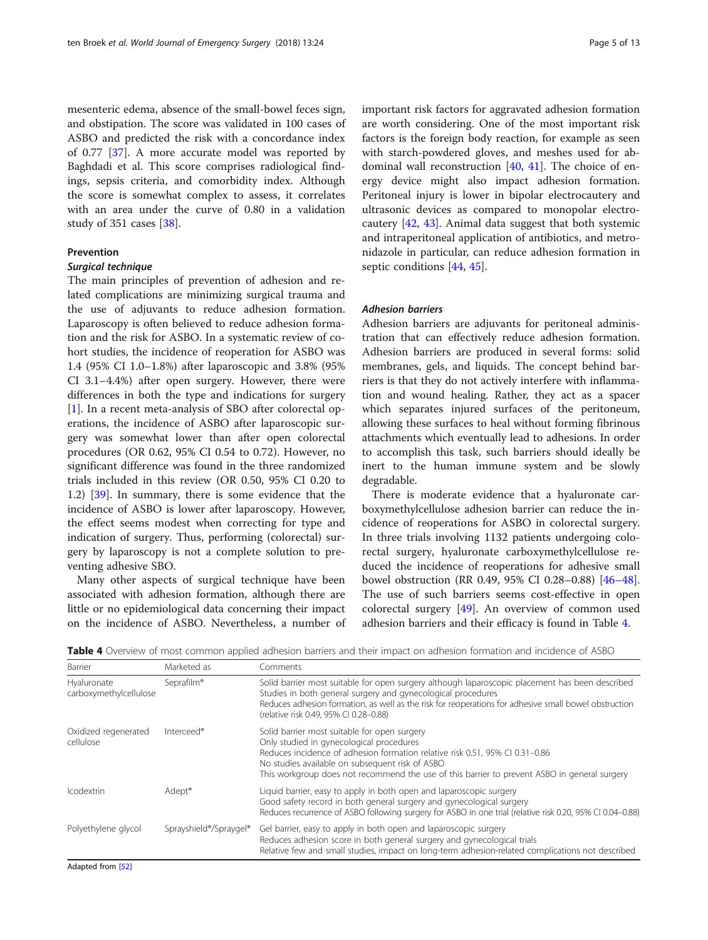mesenteric edema, absence of the small-bowel feces sign, and obstipation. The score was validated in 100 cases of ASBO and predicted the risk with a concordance index of 0.77 [\[37](#page-11-0)]. A more accurate model was reported by Baghdadi et al. This score comprises radiological findings, sepsis criteria, and comorbidity index. Although the score is somewhat complex to assess, it correlates with an area under the curve of 0.80 in a validation study of 351 cases [\[38\]](#page-11-0).

#### Prevention

#### Surgical technique

The main principles of prevention of adhesion and related complications are minimizing surgical trauma and the use of adjuvants to reduce adhesion formation. Laparoscopy is often believed to reduce adhesion formation and the risk for ASBO. In a systematic review of cohort studies, the incidence of reoperation for ASBO was 1.4 (95% CI 1.0–1.8%) after laparoscopic and 3.8% (95% CI 3.1–4.4%) after open surgery. However, there were differences in both the type and indications for surgery [[1\]](#page-10-0). In a recent meta-analysis of SBO after colorectal operations, the incidence of ASBO after laparoscopic surgery was somewhat lower than after open colorectal procedures (OR 0.62, 95% CI 0.54 to 0.72). However, no significant difference was found in the three randomized trials included in this review (OR 0.50, 95% CI 0.20 to 1.2) [\[39](#page-11-0)]. In summary, there is some evidence that the incidence of ASBO is lower after laparoscopy. However, the effect seems modest when correcting for type and indication of surgery. Thus, performing (colorectal) surgery by laparoscopy is not a complete solution to preventing adhesive SBO.

Many other aspects of surgical technique have been associated with adhesion formation, although there are little or no epidemiological data concerning their impact on the incidence of ASBO. Nevertheless, a number of important risk factors for aggravated adhesion formation are worth considering. One of the most important risk factors is the foreign body reaction, for example as seen with starch-powdered gloves, and meshes used for abdominal wall reconstruction [[40,](#page-11-0) [41](#page-11-0)]. The choice of energy device might also impact adhesion formation. Peritoneal injury is lower in bipolar electrocautery and ultrasonic devices as compared to monopolar electrocautery [\[42,](#page-11-0) [43](#page-11-0)]. Animal data suggest that both systemic and intraperitoneal application of antibiotics, and metronidazole in particular, can reduce adhesion formation in septic conditions [\[44,](#page-11-0) [45\]](#page-11-0).

#### Adhesion barriers

Adhesion barriers are adjuvants for peritoneal administration that can effectively reduce adhesion formation. Adhesion barriers are produced in several forms: solid membranes, gels, and liquids. The concept behind barriers is that they do not actively interfere with inflammation and wound healing. Rather, they act as a spacer which separates injured surfaces of the peritoneum, allowing these surfaces to heal without forming fibrinous attachments which eventually lead to adhesions. In order to accomplish this task, such barriers should ideally be inert to the human immune system and be slowly degradable.

There is moderate evidence that a hyaluronate carboxymethylcellulose adhesion barrier can reduce the incidence of reoperations for ASBO in colorectal surgery. In three trials involving 1132 patients undergoing colorectal surgery, hyaluronate carboxymethylcellulose reduced the incidence of reoperations for adhesive small bowel obstruction (RR 0.49, 95% CI 0.28–0.88) [[46](#page-11-0)–[48](#page-11-0)]. The use of such barriers seems cost-effective in open colorectal surgery [\[49](#page-11-0)]. An overview of common used adhesion barriers and their efficacy is found in Table 4.

Table 4 Overview of most common applied adhesion barriers and their impact on adhesion formation and incidence of ASBO

| Barrier                               | Marketed as                                     | Comments                                                                                                                                                                                                                                                                                                                    |
|---------------------------------------|-------------------------------------------------|-----------------------------------------------------------------------------------------------------------------------------------------------------------------------------------------------------------------------------------------------------------------------------------------------------------------------------|
| Hyaluronate<br>carboxymethylcellulose | Seprafilm <sup>®</sup>                          | Solid barrier most suitable for open surgery although laparoscopic placement has been described<br>Studies in both general surgery and gynecological procedures<br>Reduces adhesion formation, as well as the risk for reoperations for adhesive small bowel obstruction<br>(relative risk 0.49, 95% CI 0.28-0.88)          |
| Oxidized regenerated<br>cellulose     | Interceed®                                      | Solid barrier most suitable for open surgery<br>Only studied in gynecological procedures<br>Reduces incidence of adhesion formation relative risk 0.51, 95% CI 0.31-0.86<br>No studies available on subsequent risk of ASBO<br>This workgroup does not recommend the use of this barrier to prevent ASBO in general surgery |
| <b>Icodextrin</b>                     | Adept <sup>®</sup>                              | Liquid barrier, easy to apply in both open and laparoscopic surgery<br>Good safety record in both general surgery and gynecological surgery<br>Reduces recurrence of ASBO following surgery for ASBO in one trial (relative risk 0.20, 95% CI 0.04–0.88)                                                                    |
| Polyethylene glycol                   | Sprayshield <sup>®</sup> /Spraygel <sup>®</sup> | Gel barrier, easy to apply in both open and laparoscopic surgery<br>Reduces adhesion score in both general surgery and gynecological trials<br>Relative few and small studies, impact on long-term adhesion-related complications not described                                                                             |

Adapted from [\[52](#page-11-0)]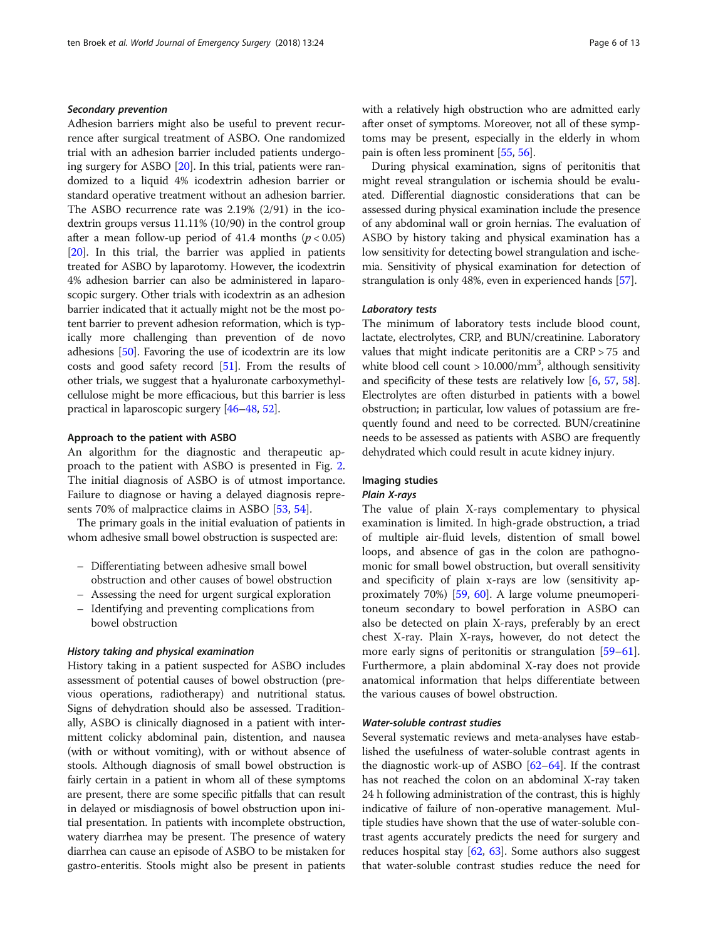# Secondary prevention

Adhesion barriers might also be useful to prevent recurrence after surgical treatment of ASBO. One randomized trial with an adhesion barrier included patients undergoing surgery for ASBO [[20\]](#page-10-0). In this trial, patients were randomized to a liquid 4% icodextrin adhesion barrier or standard operative treatment without an adhesion barrier. The ASBO recurrence rate was 2.19% (2/91) in the icodextrin groups versus 11.11% (10/90) in the control group after a mean follow-up period of 41.4 months ( $p < 0.05$ ) [[20](#page-10-0)]. In this trial, the barrier was applied in patients treated for ASBO by laparotomy. However, the icodextrin 4% adhesion barrier can also be administered in laparoscopic surgery. Other trials with icodextrin as an adhesion barrier indicated that it actually might not be the most potent barrier to prevent adhesion reformation, which is typically more challenging than prevention of de novo adhesions [[50](#page-11-0)]. Favoring the use of icodextrin are its low costs and good safety record [[51](#page-11-0)]. From the results of other trials, we suggest that a hyaluronate carboxymethylcellulose might be more efficacious, but this barrier is less practical in laparoscopic surgery [\[46](#page-11-0)–[48](#page-11-0), [52\]](#page-11-0).

#### Approach to the patient with ASBO

An algorithm for the diagnostic and therapeutic approach to the patient with ASBO is presented in Fig. [2](#page-6-0). The initial diagnosis of ASBO is of utmost importance. Failure to diagnose or having a delayed diagnosis represents 70% of malpractice claims in ASBO [[53](#page-11-0), [54](#page-11-0)].

The primary goals in the initial evaluation of patients in whom adhesive small bowel obstruction is suspected are:

- Differentiating between adhesive small bowel obstruction and other causes of bowel obstruction
- Assessing the need for urgent surgical exploration
- Identifying and preventing complications from bowel obstruction

#### History taking and physical examination

History taking in a patient suspected for ASBO includes assessment of potential causes of bowel obstruction (previous operations, radiotherapy) and nutritional status. Signs of dehydration should also be assessed. Traditionally, ASBO is clinically diagnosed in a patient with intermittent colicky abdominal pain, distention, and nausea (with or without vomiting), with or without absence of stools. Although diagnosis of small bowel obstruction is fairly certain in a patient in whom all of these symptoms are present, there are some specific pitfalls that can result in delayed or misdiagnosis of bowel obstruction upon initial presentation. In patients with incomplete obstruction, watery diarrhea may be present. The presence of watery diarrhea can cause an episode of ASBO to be mistaken for gastro-enteritis. Stools might also be present in patients with a relatively high obstruction who are admitted early after onset of symptoms. Moreover, not all of these symptoms may be present, especially in the elderly in whom pain is often less prominent [\[55](#page-11-0), [56](#page-11-0)].

During physical examination, signs of peritonitis that might reveal strangulation or ischemia should be evaluated. Differential diagnostic considerations that can be assessed during physical examination include the presence of any abdominal wall or groin hernias. The evaluation of ASBO by history taking and physical examination has a low sensitivity for detecting bowel strangulation and ischemia. Sensitivity of physical examination for detection of strangulation is only 48%, even in experienced hands [\[57\]](#page-11-0).

#### Laboratory tests

The minimum of laboratory tests include blood count, lactate, electrolytes, CRP, and BUN/creatinine. Laboratory values that might indicate peritonitis are a CRP > 75 and white blood cell count  $> 10.000/\text{mm}^3$ , although sensitivity and specificity of these tests are relatively low [\[6](#page-10-0), [57](#page-11-0), [58](#page-11-0)]. Electrolytes are often disturbed in patients with a bowel obstruction; in particular, low values of potassium are frequently found and need to be corrected. BUN/creatinine needs to be assessed as patients with ASBO are frequently dehydrated which could result in acute kidney injury.

# Imaging studies

# Plain X-rays

The value of plain X-rays complementary to physical examination is limited. In high-grade obstruction, a triad of multiple air-fluid levels, distention of small bowel loops, and absence of gas in the colon are pathognomonic for small bowel obstruction, but overall sensitivity and specificity of plain x-rays are low (sensitivity approximately 70%) [\[59](#page-11-0), [60\]](#page-11-0). A large volume pneumoperitoneum secondary to bowel perforation in ASBO can also be detected on plain X-rays, preferably by an erect chest X-ray. Plain X-rays, however, do not detect the more early signs of peritonitis or strangulation [[59](#page-11-0)–[61](#page-11-0)]. Furthermore, a plain abdominal X-ray does not provide anatomical information that helps differentiate between the various causes of bowel obstruction.

#### Water-soluble contrast studies

Several systematic reviews and meta-analyses have established the usefulness of water-soluble contrast agents in the diagnostic work-up of ASBO  $[62-64]$  $[62-64]$  $[62-64]$  $[62-64]$ . If the contrast has not reached the colon on an abdominal X-ray taken 24 h following administration of the contrast, this is highly indicative of failure of non-operative management. Multiple studies have shown that the use of water-soluble contrast agents accurately predicts the need for surgery and reduces hospital stay [\[62,](#page-11-0) [63](#page-11-0)]. Some authors also suggest that water-soluble contrast studies reduce the need for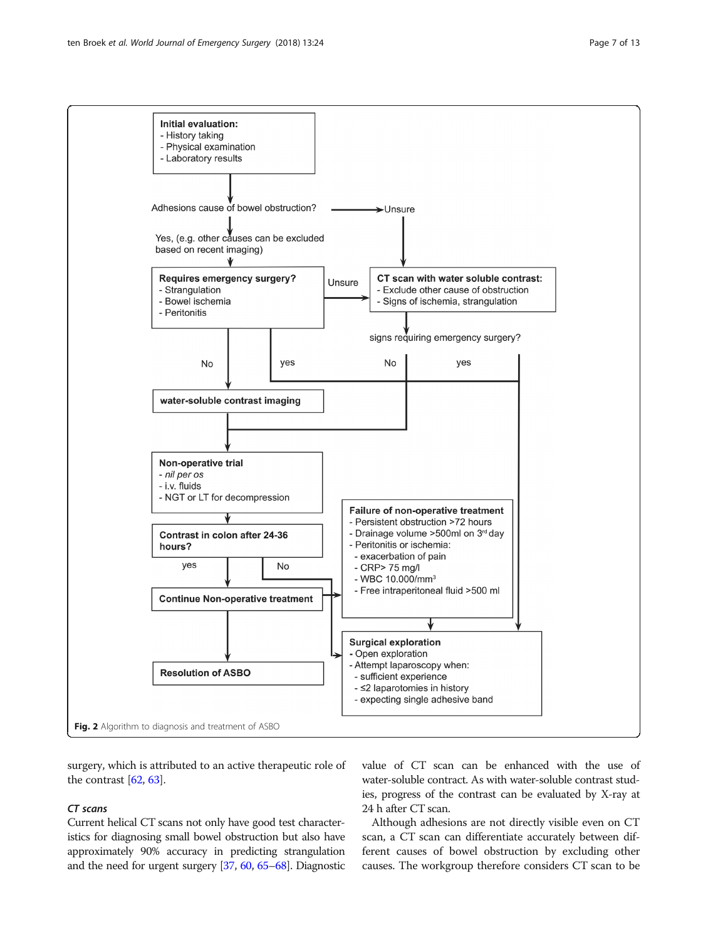<span id="page-6-0"></span>

surgery, which is attributed to an active therapeutic role of the contrast [\[62,](#page-11-0) [63](#page-11-0)].

#### CT scans

Current helical CT scans not only have good test characteristics for diagnosing small bowel obstruction but also have approximately 90% accuracy in predicting strangulation and the need for urgent surgery [\[37](#page-11-0), [60,](#page-11-0) [65](#page-11-0)–[68](#page-11-0)]. Diagnostic value of CT scan can be enhanced with the use of water-soluble contract. As with water-soluble contrast studies, progress of the contrast can be evaluated by X-ray at 24 h after CT scan.

Although adhesions are not directly visible even on CT scan, a CT scan can differentiate accurately between different causes of bowel obstruction by excluding other causes. The workgroup therefore considers CT scan to be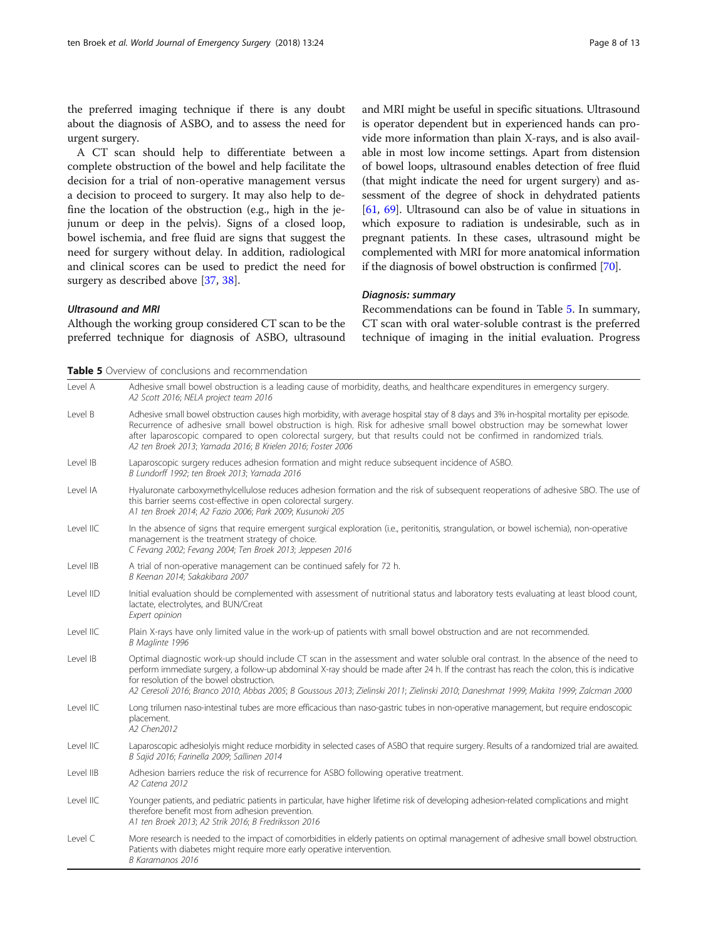<span id="page-7-0"></span>the preferred imaging technique if there is any doubt about the diagnosis of ASBO, and to assess the need for urgent surgery.

A CT scan should help to differentiate between a complete obstruction of the bowel and help facilitate the decision for a trial of non-operative management versus a decision to proceed to surgery. It may also help to define the location of the obstruction (e.g., high in the jejunum or deep in the pelvis). Signs of a closed loop, bowel ischemia, and free fluid are signs that suggest the need for surgery without delay. In addition, radiological and clinical scores can be used to predict the need for surgery as described above [\[37,](#page-11-0) [38\]](#page-11-0).

Ultrasound and MRI

Although the working group considered CT scan to be the preferred technique for diagnosis of ASBO, ultrasound and MRI might be useful in specific situations. Ultrasound is operator dependent but in experienced hands can provide more information than plain X-rays, and is also available in most low income settings. Apart from distension of bowel loops, ultrasound enables detection of free fluid (that might indicate the need for urgent surgery) and assessment of the degree of shock in dehydrated patients [[61](#page-11-0), [69\]](#page-11-0). Ultrasound can also be of value in situations in which exposure to radiation is undesirable, such as in pregnant patients. In these cases, ultrasound might be complemented with MRI for more anatomical information if the diagnosis of bowel obstruction is confirmed [[70](#page-11-0)].

#### Diagnosis: summary

Recommendations can be found in Table 5. In summary, CT scan with oral water-soluble contrast is the preferred technique of imaging in the initial evaluation. Progress

**Table 5** Overview of conclusions and recommendation

| Level A   | Adhesive small bowel obstruction is a leading cause of morbidity, deaths, and healthcare expenditures in emergency surgery.<br>A2 Scott 2016; NELA project team 2016                                                                                                                                                                                                                                                                                      |
|-----------|-----------------------------------------------------------------------------------------------------------------------------------------------------------------------------------------------------------------------------------------------------------------------------------------------------------------------------------------------------------------------------------------------------------------------------------------------------------|
| Level B   | Adhesive small bowel obstruction causes high morbidity, with average hospital stay of 8 days and 3% in-hospital mortality per episode.<br>Recurrence of adhesive small bowel obstruction is high. Risk for adhesive small bowel obstruction may be somewhat lower<br>after laparoscopic compared to open colorectal surgery, but that results could not be confirmed in randomized trials.<br>A2 ten Broek 2013; Yamada 2016; B Krielen 2016; Foster 2006 |
| Level IB  | Laparoscopic surgery reduces adhesion formation and might reduce subsequent incidence of ASBO.<br>B Lundorff 1992: ten Broek 2013: Yamada 2016                                                                                                                                                                                                                                                                                                            |
| Level IA  | Hyaluronate carboxymethylcellulose reduces adhesion formation and the risk of subsequent reoperations of adhesive SBO. The use of<br>this barrier seems cost-effective in open colorectal surgery.<br>A1 ten Broek 2014; A2 Fazio 2006; Park 2009; Kusunoki 205                                                                                                                                                                                           |
| Level IIC | In the absence of signs that require emergent surgical exploration (i.e., peritonitis, strangulation, or bowel ischemia), non-operative<br>management is the treatment strategy of choice.<br>C Fevang 2002; Fevang 2004; Ten Broek 2013; Jeppesen 2016                                                                                                                                                                                                   |
| Level IIB | A trial of non-operative management can be continued safely for 72 h.<br>B Keenan 2014; Sakakibara 2007                                                                                                                                                                                                                                                                                                                                                   |
| Level IID | Initial evaluation should be complemented with assessment of nutritional status and laboratory tests evaluating at least blood count,<br>lactate, electrolytes, and BUN/Creat<br>Expert opinion                                                                                                                                                                                                                                                           |
| Level IIC | Plain X-rays have only limited value in the work-up of patients with small bowel obstruction and are not recommended.<br>B Maglinte 1996                                                                                                                                                                                                                                                                                                                  |
| Level IB  | Optimal diagnostic work-up should include CT scan in the assessment and water soluble oral contrast. In the absence of the need to<br>perform immediate surgery, a follow-up abdominal X-ray should be made after 24 h. If the contrast has reach the colon, this is indicative<br>for resolution of the bowel obstruction.                                                                                                                               |
|           | A2 Ceresoli 2016; Branco 2010; Abbas 2005; B Goussous 2013; Zielinski 2011; Zielinski 2010; Daneshmat 1999; Makita 1999; Zalcman 2000                                                                                                                                                                                                                                                                                                                     |
| Level IIC | Long trilumen naso-intestinal tubes are more efficacious than naso-gastric tubes in non-operative management, but require endoscopic<br>placement.<br>A2 Chen2012                                                                                                                                                                                                                                                                                         |
| Level IIC | Laparoscopic adhesiolyis might reduce morbidity in selected cases of ASBO that require surgery. Results of a randomized trial are awaited.<br>B Sajid 2016; Farinella 2009; Sallinen 2014                                                                                                                                                                                                                                                                 |
| Level IIB | Adhesion barriers reduce the risk of recurrence for ASBO following operative treatment.<br>A2 Catena 2012                                                                                                                                                                                                                                                                                                                                                 |
| Level IIC | Younger patients, and pediatric patients in particular, have higher lifetime risk of developing adhesion-related complications and might<br>therefore benefit most from adhesion prevention.<br>A1 ten Broek 2013; A2 Strik 2016; B Fredriksson 2016                                                                                                                                                                                                      |
| Level C   | More research is needed to the impact of comorbidities in elderly patients on optimal management of adhesive small bowel obstruction.<br>Patients with diabetes might require more early operative intervention.<br>B Karamanos 2016                                                                                                                                                                                                                      |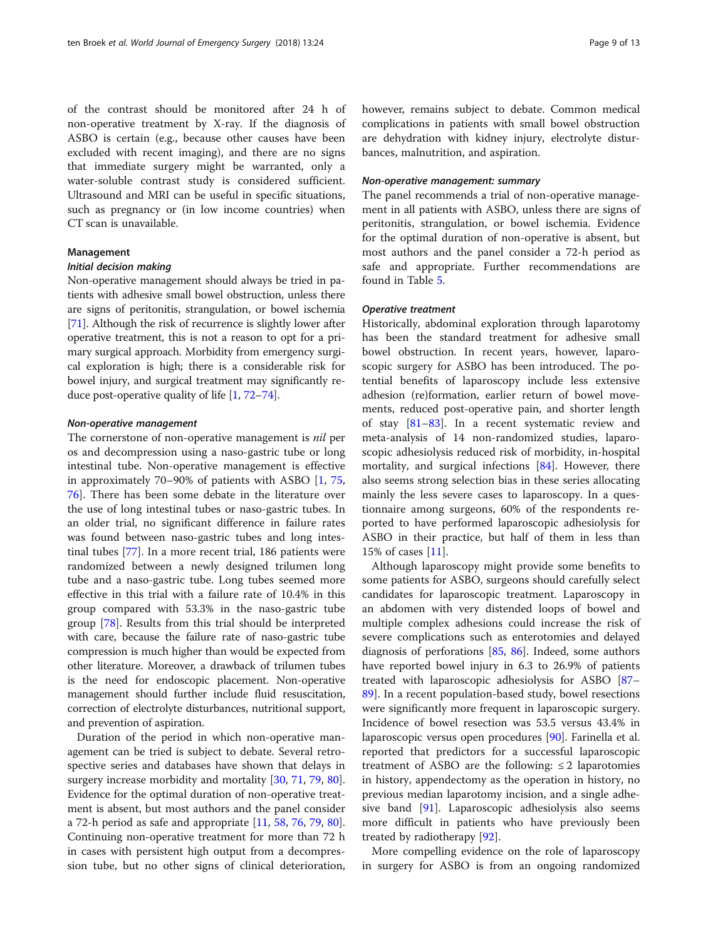of the contrast should be monitored after 24 h of non-operative treatment by X-ray. If the diagnosis of ASBO is certain (e.g., because other causes have been excluded with recent imaging), and there are no signs that immediate surgery might be warranted, only a water-soluble contrast study is considered sufficient. Ultrasound and MRI can be useful in specific situations, such as pregnancy or (in low income countries) when CT scan is unavailable.

#### Management

#### Initial decision making

Non-operative management should always be tried in patients with adhesive small bowel obstruction, unless there are signs of peritonitis, strangulation, or bowel ischemia [[71](#page-11-0)]. Although the risk of recurrence is slightly lower after operative treatment, this is not a reason to opt for a primary surgical approach. Morbidity from emergency surgical exploration is high; there is a considerable risk for bowel injury, and surgical treatment may significantly reduce post-operative quality of life [[1](#page-10-0), [72](#page-11-0)–[74](#page-12-0)].

#### Non-operative management

The cornerstone of non-operative management is nil per os and decompression using a naso-gastric tube or long intestinal tube. Non-operative management is effective in approximately 70–90% of patients with ASBO [[1,](#page-10-0) [75](#page-12-0), [76\]](#page-12-0). There has been some debate in the literature over the use of long intestinal tubes or naso-gastric tubes. In an older trial, no significant difference in failure rates was found between naso-gastric tubes and long intestinal tubes [[77\]](#page-12-0). In a more recent trial, 186 patients were randomized between a newly designed trilumen long tube and a naso-gastric tube. Long tubes seemed more effective in this trial with a failure rate of 10.4% in this group compared with 53.3% in the naso-gastric tube group [[78](#page-12-0)]. Results from this trial should be interpreted with care, because the failure rate of naso-gastric tube compression is much higher than would be expected from other literature. Moreover, a drawback of trilumen tubes is the need for endoscopic placement. Non-operative management should further include fluid resuscitation, correction of electrolyte disturbances, nutritional support, and prevention of aspiration.

Duration of the period in which non-operative management can be tried is subject to debate. Several retrospective series and databases have shown that delays in surgery increase morbidity and mortality [\[30](#page-11-0), [71](#page-11-0), [79](#page-12-0), [80](#page-12-0)]. Evidence for the optimal duration of non-operative treatment is absent, but most authors and the panel consider a 72-h period as safe and appropriate [[11,](#page-10-0) [58](#page-11-0), [76](#page-12-0), [79](#page-12-0), [80](#page-12-0)]. Continuing non-operative treatment for more than 72 h in cases with persistent high output from a decompression tube, but no other signs of clinical deterioration, however, remains subject to debate. Common medical complications in patients with small bowel obstruction are dehydration with kidney injury, electrolyte disturbances, malnutrition, and aspiration.

#### Non-operative management: summary

The panel recommends a trial of non-operative management in all patients with ASBO, unless there are signs of peritonitis, strangulation, or bowel ischemia. Evidence for the optimal duration of non-operative is absent, but most authors and the panel consider a 72-h period as safe and appropriate. Further recommendations are found in Table [5](#page-7-0).

#### Operative treatment

Historically, abdominal exploration through laparotomy has been the standard treatment for adhesive small bowel obstruction. In recent years, however, laparoscopic surgery for ASBO has been introduced. The potential benefits of laparoscopy include less extensive adhesion (re)formation, earlier return of bowel movements, reduced post-operative pain, and shorter length of stay [\[81](#page-12-0)–[83\]](#page-12-0). In a recent systematic review and meta-analysis of 14 non-randomized studies, laparoscopic adhesiolysis reduced risk of morbidity, in-hospital mortality, and surgical infections [\[84\]](#page-12-0). However, there also seems strong selection bias in these series allocating mainly the less severe cases to laparoscopy. In a questionnaire among surgeons, 60% of the respondents reported to have performed laparoscopic adhesiolysis for ASBO in their practice, but half of them in less than 15% of cases [\[11](#page-10-0)].

Although laparoscopy might provide some benefits to some patients for ASBO, surgeons should carefully select candidates for laparoscopic treatment. Laparoscopy in an abdomen with very distended loops of bowel and multiple complex adhesions could increase the risk of severe complications such as enterotomies and delayed diagnosis of perforations [\[85,](#page-12-0) [86\]](#page-12-0). Indeed, some authors have reported bowel injury in 6.3 to 26.9% of patients treated with laparoscopic adhesiolysis for ASBO [[87](#page-12-0)– [89\]](#page-12-0). In a recent population-based study, bowel resections were significantly more frequent in laparoscopic surgery. Incidence of bowel resection was 53.5 versus 43.4% in laparoscopic versus open procedures [\[90](#page-12-0)]. Farinella et al. reported that predictors for a successful laparoscopic treatment of ASBO are the following:  $\leq 2$  laparotomies in history, appendectomy as the operation in history, no previous median laparotomy incision, and a single adhesive band [[91\]](#page-12-0). Laparoscopic adhesiolysis also seems more difficult in patients who have previously been treated by radiotherapy [\[92](#page-12-0)].

More compelling evidence on the role of laparoscopy in surgery for ASBO is from an ongoing randomized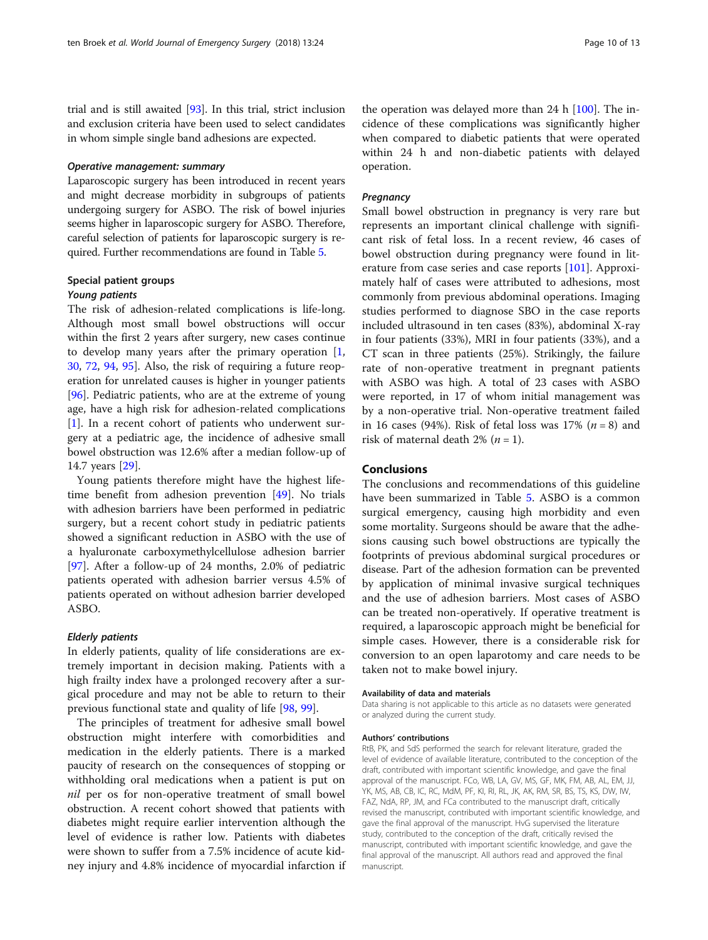trial and is still awaited [[93](#page-12-0)]. In this trial, strict inclusion and exclusion criteria have been used to select candidates in whom simple single band adhesions are expected.

#### Operative management: summary

Laparoscopic surgery has been introduced in recent years and might decrease morbidity in subgroups of patients undergoing surgery for ASBO. The risk of bowel injuries seems higher in laparoscopic surgery for ASBO. Therefore, careful selection of patients for laparoscopic surgery is required. Further recommendations are found in Table [5.](#page-7-0)

### Special patient groups

#### Young patients

The risk of adhesion-related complications is life-long. Although most small bowel obstructions will occur within the first 2 years after surgery, new cases continue to develop many years after the primary operation  $[1, 1]$  $[1, 1]$ [30,](#page-11-0) [72,](#page-11-0) [94](#page-12-0), [95\]](#page-12-0). Also, the risk of requiring a future reoperation for unrelated causes is higher in younger patients [[96\]](#page-12-0). Pediatric patients, who are at the extreme of young age, have a high risk for adhesion-related complications [[1\]](#page-10-0). In a recent cohort of patients who underwent surgery at a pediatric age, the incidence of adhesive small bowel obstruction was 12.6% after a median follow-up of 14.7 years [\[29](#page-11-0)].

Young patients therefore might have the highest lifetime benefit from adhesion prevention [\[49](#page-11-0)]. No trials with adhesion barriers have been performed in pediatric surgery, but a recent cohort study in pediatric patients showed a significant reduction in ASBO with the use of a hyaluronate carboxymethylcellulose adhesion barrier [[97\]](#page-12-0). After a follow-up of 24 months, 2.0% of pediatric patients operated with adhesion barrier versus 4.5% of patients operated on without adhesion barrier developed ASBO.

#### Elderly patients

In elderly patients, quality of life considerations are extremely important in decision making. Patients with a high frailty index have a prolonged recovery after a surgical procedure and may not be able to return to their previous functional state and quality of life [\[98](#page-12-0), [99\]](#page-12-0).

The principles of treatment for adhesive small bowel obstruction might interfere with comorbidities and medication in the elderly patients. There is a marked paucity of research on the consequences of stopping or withholding oral medications when a patient is put on nil per os for non-operative treatment of small bowel obstruction. A recent cohort showed that patients with diabetes might require earlier intervention although the level of evidence is rather low. Patients with diabetes were shown to suffer from a 7.5% incidence of acute kidney injury and 4.8% incidence of myocardial infarction if

the operation was delayed more than  $24$  h  $[100]$  $[100]$  $[100]$ . The incidence of these complications was significantly higher when compared to diabetic patients that were operated within 24 h and non-diabetic patients with delayed operation.

#### **Pregnancy**

Small bowel obstruction in pregnancy is very rare but represents an important clinical challenge with significant risk of fetal loss. In a recent review, 46 cases of bowel obstruction during pregnancy were found in literature from case series and case reports [\[101](#page-12-0)]. Approximately half of cases were attributed to adhesions, most commonly from previous abdominal operations. Imaging studies performed to diagnose SBO in the case reports included ultrasound in ten cases (83%), abdominal X-ray in four patients (33%), MRI in four patients (33%), and a CT scan in three patients (25%). Strikingly, the failure rate of non-operative treatment in pregnant patients with ASBO was high. A total of 23 cases with ASBO were reported, in 17 of whom initial management was by a non-operative trial. Non-operative treatment failed in 16 cases (94%). Risk of fetal loss was 17%  $(n = 8)$  and risk of maternal death 2% ( $n = 1$ ).

#### Conclusions

The conclusions and recommendations of this guideline have been summarized in Table [5.](#page-7-0) ASBO is a common surgical emergency, causing high morbidity and even some mortality. Surgeons should be aware that the adhesions causing such bowel obstructions are typically the footprints of previous abdominal surgical procedures or disease. Part of the adhesion formation can be prevented by application of minimal invasive surgical techniques and the use of adhesion barriers. Most cases of ASBO can be treated non-operatively. If operative treatment is required, a laparoscopic approach might be beneficial for simple cases. However, there is a considerable risk for conversion to an open laparotomy and care needs to be taken not to make bowel injury.

#### Availability of data and materials

Data sharing is not applicable to this article as no datasets were generated or analyzed during the current study.

#### Authors' contributions

RtB, PK, and SdS performed the search for relevant literature, graded the level of evidence of available literature, contributed to the conception of the draft, contributed with important scientific knowledge, and gave the final approval of the manuscript. FCo, WB, LA, GV, MS, GF, MK, FM, AB, AL, EM, JJ, YK, MS, AB, CB, IC, RC, MdM, PF, KI, RI, RL, JK, AK, RM, SR, BS, TS, KS, DW, IW, FAZ, NdA, RP, JM, and FCa contributed to the manuscript draft, critically revised the manuscript, contributed with important scientific knowledge, and gave the final approval of the manuscript. HvG supervised the literature study, contributed to the conception of the draft, critically revised the manuscript, contributed with important scientific knowledge, and gave the final approval of the manuscript. All authors read and approved the final manuscript.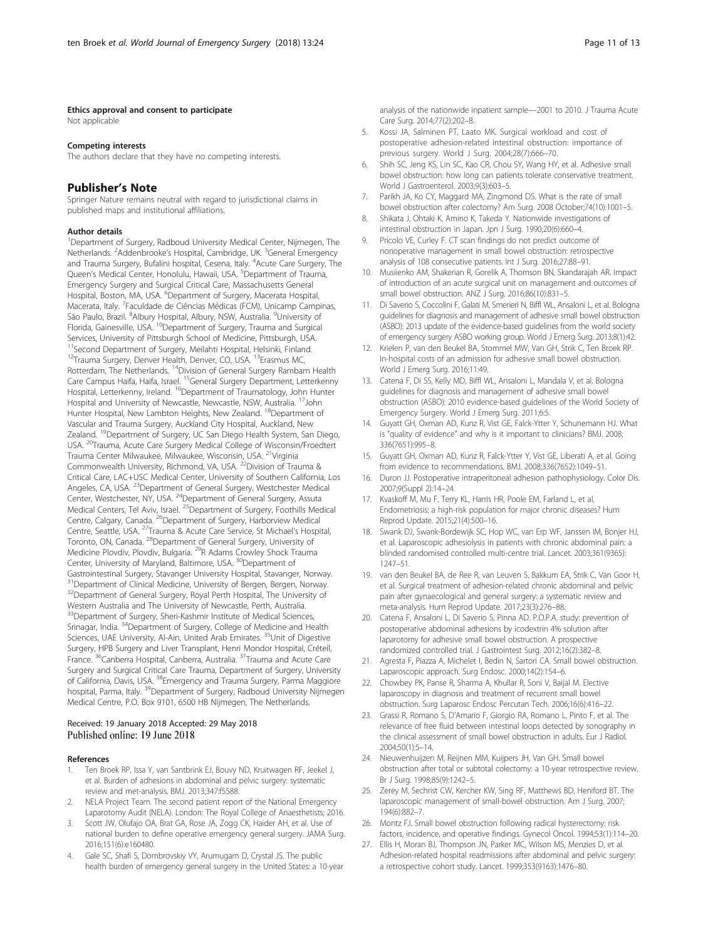#### <span id="page-10-0"></span>Ethics approval and consent to participate

Not applicable

#### Competing interests

The authors declare that they have no competing interests.

#### Publisher's Note

Springer Nature remains neutral with regard to jurisdictional claims in published maps and institutional affiliations.

#### Author details

<sup>1</sup>Department of Surgery, Radboud University Medical Center, Nijmegen, The Netherlands. <sup>2</sup>Addenbrooke's Hospital, Cambridge, UK. <sup>3</sup>General Emergency and Trauma Surgery, Bufalini hospital, Cesena, Italy. <sup>4</sup>Acute Care Surgery, The Queen's Medical Center, Honolulu, Hawaii, USA. <sup>5</sup>Department of Trauma, Emergency Surgery and Surgical Critical Care, Massachusetts General Hospital, Boston, MA, USA. <sup>6</sup>Department of Surgery, Macerata Hospital, Macerata, Italy. <sup>7</sup> Faculdade de Ciências Médicas (FCM), Unicamp Campinas, São Paulo, Brazil. <sup>8</sup>Albury Hospital, Albury, NSW, Australia. <sup>9</sup>University of Florida, Gainesville, USA. <sup>10</sup>Department of Surgery, Trauma and Surgical Services, University of Pittsburgh School of Medicine, Pittsburgh, USA. <sup>11</sup>Second Department of Surgery, Meilahti Hospital, Helsinki, Finland. <sup>12</sup>Trauma Surgery, Denver Health, Denver, CO, USA. <sup>13</sup>Erasmus MC, Rotterdam, The Netherlands. 14Division of General Surgery Rambam Health Care Campus Haifa, Haifa, Israel. 15General Surgery Department, Letterkenny Hospital, Letterkenny, Ireland. 16Department of Traumatology, John Hunter Hospital and University of Newcastle, Newcastle, NSW, Australia. 17John Hunter Hospital, New Lambton Heights, New Zealand. 18Department of Vascular and Trauma Surgery, Auckland City Hospital, Auckland, New Zealand. <sup>19</sup>Department of Surgery, UC San Diego Health System, San Diego, USA. 20Trauma, Acute Care Surgery Medical College of Wisconsin/Froedtert Trauma Center Milwaukee, Milwaukee, Wisconsin, USA. 21Virginia Commonwealth University, Richmond, VA, USA. <sup>22</sup>Division of Trauma & Critical Care, LAC+USC Medical Center, University of Southern California, Los Angeles, CA, USA. <sup>23</sup>Department of General Surgery, Westchester Medical Center, Westchester, NY, USA. 24Department of General Surgery, Assuta Medical Centers, Tel Aviv, Israel. <sup>25</sup>Department of Surgery, Foothills Medical Centre, Calgary, Canada. <sup>26</sup>Department of Surgery, Harborview Medical Centre, Seattle, USA. 27Trauma & Acute Care Service, St Michael's Hospital, Toronto, ON, Canada. 28Department of General Surgery, University of Medicine Plovdiv, Plovdiv, Bulgaria. 29R Adams Crowley Shock Trauma Center, University of Maryland, Baltimore, USA. 30Department of Gastrointestinal Surgery, Stavanger University Hospital, Stavanger, Norway. <sup>31</sup>Department of Clinical Medicine, University of Bergen, Bergen, Norway. <sup>32</sup>Department of General Surgery, Royal Perth Hospital, The University of Western Australia and The University of Newcastle, Perth, Australia. <sup>33</sup>Department of Surgery, Sheri-Kashmir Institute of Medical Sciences, Srinagar, India. <sup>34</sup>Department of Surgery, College of Medicine and Health Sciences, UAE University, Al-Ain, United Arab Emirates.<sup>35</sup>Unit of Digestive Surgery, HPB Surgery and Liver Transplant, Henri Mondor Hospital, Créteil, France. <sup>36</sup>Canberra Hospital, Canberra, Australia. <sup>37</sup>Trauma and Acute Care Surgery and Surgical Critical Care Trauma, Department of Surgery, University of California, Davis, USA. 38Emergency and Trauma Surgery, Parma Maggiore hospital, Parma, Italy. <sup>39</sup>Department of Surgery, Radboud University Nijmegen Medical Centre, P.O. Box 9101, 6500 HB Nijmegen, The Netherlands.

# Received: 19 January 2018 Accepted: 29 May 2018

#### References

- 1. Ten Broek RP, Issa Y, van Santbrink EJ, Bouvy ND, Kruitwagen RF, Jeekel J, et al. Burden of adhesions in abdominal and pelvic surgery: systematic review and met-analysis. BMJ. 2013;347:f5588.
- 2. NELA Project Team. The second patient report of the National Emergency Laparotomy Audit (NELA). London: The Royal College of Anaesthetists; 2016.
- Scott JW, Olufajo OA, Brat GA, Rose JA, Zogg CK, Haider AH, et al. Use of national burden to define operative emergency general surgery. JAMA Surg. 2016;151(6):e160480.
- 4. Gale SC, Shafi S, Dombrovskiy VY, Arumugam D, Crystal JS. The public health burden of emergency general surgery in the United States: a 10-year

analysis of the nationwide inpatient sample—2001 to 2010. J Trauma Acute Care Surg. 2014;77(2):202–8.

- 5. Kossi JA, Salminen PT, Laato MK. Surgical workload and cost of postoperative adhesion-related intestinal obstruction: importance of previous surgery. World J Surg. 2004;28(7):666–70.
- 6. Shih SC, Jeng KS, Lin SC, Kao CR, Chou SY, Wang HY, et al. Adhesive small bowel obstruction: how long can patients tolerate conservative treatment. World J Gastroenterol. 2003;9(3):603–5.
- 7. Parikh JA, Ko CY, Maggard MA, Zingmond DS. What is the rate of small bowel obstruction after colectomy? Am Surg. 2008 October;74(10):1001–5.
- 8. Shikata J, Ohtaki K, Amino K, Takeda Y. Nationwide investigations of intestinal obstruction in Japan. Jpn J Surg. 1990;20(6):660–4.
- 9. Pricolo VE, Curley F. CT scan findings do not predict outcome of nonoperative management in small bowel obstruction: retrospective analysis of 108 consecutive patients. Int J Surg. 2016;27:88–91.
- 10. Musiienko AM, Shakerian R, Gorelik A, Thomson BN, Skandarajah AR. Impact of introduction of an acute surgical unit on management and outcomes of small bowel obstruction. ANZ J Surg. 2016;86(10):831–5.
- 11. Di Saverio S, Coccolini F, Galati M, Smerieri N, Biffl WL, Ansaloni L, et al. Bologna guidelines for diagnosis and management of adhesive small bowel obstruction (ASBO): 2013 update of the evidence-based guidelines from the world society of emergency surgery ASBO working group. World J Emerg Surg. 2013;8(1):42.
- 12. Krielen P, van den Beukel BA, Stommel MW, Van GH, Strik C, Ten Broek RP. In-hospital costs of an admission for adhesive small bowel obstruction. World J Emerg Surg. 2016;11:49.
- 13. Catena F, Di SS, Kelly MD, Biffl WL, Ansaloni L, Mandala V, et al. Bologna guidelines for diagnosis and management of adhesive small bowel obstruction (ASBO): 2010 evidence-based guidelines of the World Society of Emergency Surgery. World J Emerg Surg. 2011;6:5.
- 14. Guyatt GH, Oxman AD, Kunz R, Vist GE, Falck-Ytter Y, Schunemann HJ. What is "quality of evidence" and why is it important to clinicians? BMJ. 2008; 336(7651):995–8.
- 15. Guyatt GH, Oxman AD, Kunz R, Falck-Ytter Y, Vist GE, Liberati A, et al. Going from evidence to recommendations. BMJ. 2008;336(7652):1049–51.
- 16. Duron JJ. Postoperative intraperitoneal adhesion pathophysiology. Color Dis. 2007;9(Suppl 2):14–24.
- 17. Kvaskoff M, Mu F, Terry KL, Harris HR, Poole EM, Farland L, et al. Endometriosis: a high-risk population for major chronic diseases? Hum Reprod Update. 2015;21(4):500–16.
- 18. Swank DJ, Swank-Bordewijk SC, Hop WC, van Erp WF, Janssen IM, Bonjer HJ, et al. Laparoscopic adhesiolysis in patients with chronic abdominal pain: a blinded randomised controlled multi-centre trial. Lancet. 2003;361(9365): 1247–51.
- 19. van den Beukel BA, de Ree R, van Leuven S, Bakkum EA, Strik C, Van Goor H, et al. Surgical treatment of adhesion-related chronic abdominal and pelvic pain after gynaecological and general surgery: a systematic review and meta-analysis. Hum Reprod Update. 2017;23(3):276–88.
- 20. Catena F, Ansaloni L, Di Saverio S, Pinna AD. P.O.P.A. study: prevention of postoperative abdominal adhesions by icodextrin 4% solution after laparotomy for adhesive small bowel obstruction. A prospective randomized controlled trial. J Gastrointest Surg. 2012;16(2):382–8.
- 21. Agresta F, Piazza A, Michelet I, Bedin N, Sartori CA. Small bowel obstruction. Laparoscopic approach. Surg Endosc. 2000;14(2):154–6.
- 22. Chowbey PK, Panse R, Sharma A, Khullar R, Soni V, Baijal M. Elective laparoscopy in diagnosis and treatment of recurrent small bowel obstruction. Surg Laparosc Endosc Percutan Tech. 2006;16(6):416–22.
- 23. Grassi R, Romano S, D'Amario F, Giorgio RA, Romano L, Pinto F, et al. The relevance of free fluid between intestinal loops detected by sonography in the clinical assessment of small bowel obstruction in adults. Eur J Radiol. 2004;50(1):5–14.
- 24. Nieuwenhuijzen M, Reijnen MM, Kuijpers JH, Van GH. Small bowel obstruction after total or subtotal colectomy: a 10-year retrospective review. Br J Surg. 1998;85(9):1242–5.
- 25. Zerey M, Sechrist CW, Kercher KW, Sing RF, Matthews BD, Heniford BT. The laparoscopic management of small-bowel obstruction. Am J Surg. 2007; 194(6):882–7.
- 26. Montz FJ. Small bowel obstruction following radical hysterectomy: risk factors, incidence, and operative findings. Gynecol Oncol. 1994;53(1):114–20.
- 27. Ellis H, Moran BJ, Thompson JN, Parker MC, Wilson MS, Menzies D, et al. Adhesion-related hospital readmissions after abdominal and pelvic surgery: a retrospective cohort study. Lancet. 1999;353(9163):1476–80.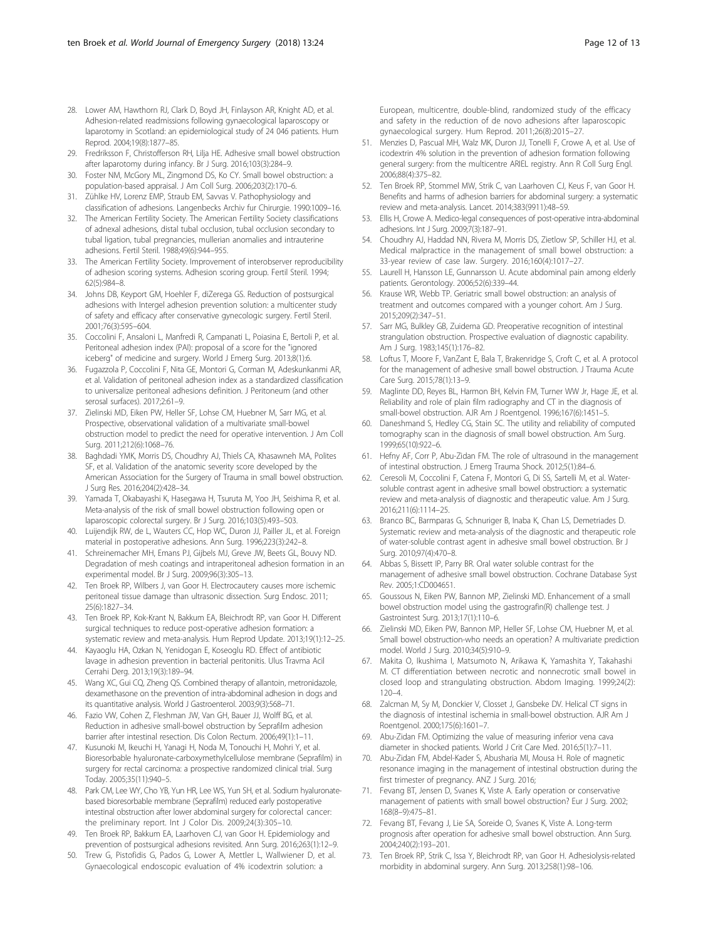- <span id="page-11-0"></span>28. Lower AM, Hawthorn RJ, Clark D, Boyd JH, Finlayson AR, Knight AD, et al. Adhesion-related readmissions following gynaecological laparoscopy or laparotomy in Scotland: an epidemiological study of 24 046 patients. Hum Reprod. 2004;19(8):1877–85.
- 29. Fredriksson F, Christofferson RH, Lilja HE. Adhesive small bowel obstruction after laparotomy during infancy. Br J Surg. 2016;103(3):284–9.
- 30. Foster NM, McGory ML, Zingmond DS, Ko CY. Small bowel obstruction: a population-based appraisal. J Am Coll Surg. 2006;203(2):170–6.
- 31. Zühlke HV, Lorenz EMP, Straub EM, Savvas V. Pathophysiology and classification of adhesions. Langenbecks Archiv fur Chirurgie. 1990:1009–16.
- 32. The American Fertility Society. The American Fertility Society classifications of adnexal adhesions, distal tubal occlusion, tubal occlusion secondary to tubal ligation, tubal pregnancies, mullerian anomalies and intrauterine adhesions. Fertil Steril. 1988;49(6):944–955.
- 33. The American Fertility Society. Improvement of interobserver reproducibility of adhesion scoring systems. Adhesion scoring group. Fertil Steril. 1994; 62(5):984–8.
- 34. Johns DB, Keyport GM, Hoehler F, diZerega GS. Reduction of postsurgical adhesions with Intergel adhesion prevention solution: a multicenter study of safety and efficacy after conservative gynecologic surgery. Fertil Steril. 2001;76(3):595–604.
- 35. Coccolini F, Ansaloni L, Manfredi R, Campanati L, Poiasina E, Bertoli P, et al. Peritoneal adhesion index (PAI): proposal of a score for the "ignored iceberg" of medicine and surgery. World J Emerg Surg. 2013;8(1):6.
- 36. Fugazzola P, Coccolini F, Nita GE, Montori G, Corman M, Adeskunkanmi AR, et al. Validation of peritoneal adhesion index as a standardized classification to universalize peritoneal adhesions definition. J Peritoneum (and other serosal surfaces). 2017;2:61–9.
- 37. Zielinski MD, Eiken PW, Heller SF, Lohse CM, Huebner M, Sarr MG, et al. Prospective, observational validation of a multivariate small-bowel obstruction model to predict the need for operative intervention. J Am Coll Surg. 2011;212(6):1068–76.
- 38. Baghdadi YMK, Morris DS, Choudhry AJ, Thiels CA, Khasawneh MA, Polites SF, et al. Validation of the anatomic severity score developed by the American Association for the Surgery of Trauma in small bowel obstruction. J Surg Res. 2016;204(2):428–34.
- 39. Yamada T, Okabayashi K, Hasegawa H, Tsuruta M, Yoo JH, Seishima R, et al. Meta-analysis of the risk of small bowel obstruction following open or laparoscopic colorectal surgery. Br J Surg. 2016;103(5):493–503.
- 40. Luijendijk RW, de L, Wauters CC, Hop WC, Duron JJ, Pailler JL, et al. Foreign material in postoperative adhesions. Ann Surg. 1996;223(3):242–8.
- 41. Schreinemacher MH, Emans PJ, Gijbels MJ, Greve JW, Beets GL, Bouvy ND. Degradation of mesh coatings and intraperitoneal adhesion formation in an experimental model. Br J Surg. 2009;96(3):305–13.
- 42. Ten Broek RP, Wilbers J, van Goor H. Electrocautery causes more ischemic peritoneal tissue damage than ultrasonic dissection. Surg Endosc. 2011; 25(6):1827–34.
- 43. Ten Broek RP, Kok-Krant N, Bakkum EA, Bleichrodt RP, van Goor H. Different surgical techniques to reduce post-operative adhesion formation: a systematic review and meta-analysis. Hum Reprod Update. 2013;19(1):12–25.
- 44. Kayaoglu HA, Ozkan N, Yenidogan E, Koseoglu RD. Effect of antibiotic lavage in adhesion prevention in bacterial peritonitis. Ulus Travma Acil Cerrahi Derg. 2013;19(3):189–94.
- 45. Wang XC, Gui CQ, Zheng QS. Combined therapy of allantoin, metronidazole, dexamethasone on the prevention of intra-abdominal adhesion in dogs and its quantitative analysis. World J Gastroenterol. 2003;9(3):568–71.
- 46. Fazio VW, Cohen Z, Fleshman JW, Van GH, Bauer JJ, Wolff BG, et al. Reduction in adhesive small-bowel obstruction by Seprafilm adhesion barrier after intestinal resection. Dis Colon Rectum. 2006;49(1):1–11.
- 47. Kusunoki M, Ikeuchi H, Yanagi H, Noda M, Tonouchi H, Mohri Y, et al. Bioresorbable hyaluronate-carboxymethylcellulose membrane (Seprafilm) in surgery for rectal carcinoma: a prospective randomized clinical trial. Surg Today. 2005;35(11):940–5.
- 48. Park CM, Lee WY, Cho YB, Yun HR, Lee WS, Yun SH, et al. Sodium hyaluronatebased bioresorbable membrane (Seprafilm) reduced early postoperative intestinal obstruction after lower abdominal surgery for colorectal cancer: the preliminary report. Int J Color Dis. 2009;24(3):305–10.
- 49. Ten Broek RP, Bakkum EA, Laarhoven CJ, van Goor H. Epidemiology and prevention of postsurgical adhesions revisited. Ann Surg. 2016;263(1):12–9.
- 50. Trew G, Pistofidis G, Pados G, Lower A, Mettler L, Wallwiener D, et al. Gynaecological endoscopic evaluation of 4% icodextrin solution: a

European, multicentre, double-blind, randomized study of the efficacy and safety in the reduction of de novo adhesions after laparoscopic gynaecological surgery. Hum Reprod. 2011;26(8):2015–27.

- 51. Menzies D, Pascual MH, Walz MK, Duron JJ, Tonelli F, Crowe A, et al. Use of icodextrin 4% solution in the prevention of adhesion formation following general surgery: from the multicentre ARIEL registry. Ann R Coll Surg Engl. 2006;88(4):375–82.
- 52. Ten Broek RP, Stommel MW, Strik C, van Laarhoven CJ, Keus F, van Goor H. Benefits and harms of adhesion barriers for abdominal surgery: a systematic review and meta-analysis. Lancet. 2014;383(9911):48–59.
- 53. Ellis H, Crowe A. Medico-legal consequences of post-operative intra-abdominal adhesions. Int J Surg. 2009;7(3):187–91.
- 54. Choudhry AJ, Haddad NN, Rivera M, Morris DS, Zietlow SP, Schiller HJ, et al. Medical malpractice in the management of small bowel obstruction: a 33-year review of case law. Surgery. 2016;160(4):1017–27.
- 55. Laurell H, Hansson LE, Gunnarsson U. Acute abdominal pain among elderly patients. Gerontology. 2006;52(6):339–44.
- 56. Krause WR, Webb TP. Geriatric small bowel obstruction: an analysis of treatment and outcomes compared with a younger cohort. Am J Surg. 2015;209(2):347–51.
- 57. Sarr MG, Bulkley GB, Zuidema GD. Preoperative recognition of intestinal strangulation obstruction. Prospective evaluation of diagnostic capability. Am J Surg. 1983;145(1):176–82.
- 58. Loftus T, Moore F, VanZant E, Bala T, Brakenridge S, Croft C, et al. A protocol for the management of adhesive small bowel obstruction. J Trauma Acute Care Surg. 2015;78(1):13–9.
- 59. Maglinte DD, Reyes BL, Harmon BH, Kelvin FM, Turner WW Jr, Hage JE, et al. Reliability and role of plain film radiography and CT in the diagnosis of small-bowel obstruction. AJR Am J Roentgenol. 1996;167(6):1451–5.
- 60. Daneshmand S, Hedley CG, Stain SC. The utility and reliability of computed tomography scan in the diagnosis of small bowel obstruction. Am Surg. 1999;65(10):922–6.
- 61. Hefny AF, Corr P, Abu-Zidan FM. The role of ultrasound in the management of intestinal obstruction. J Emerg Trauma Shock. 2012;5(1):84–6.
- 62. Ceresoli M, Coccolini F, Catena F, Montori G, Di SS, Sartelli M, et al. Watersoluble contrast agent in adhesive small bowel obstruction: a systematic review and meta-analysis of diagnostic and therapeutic value. Am J Surg. 2016;211(6):1114–25.
- 63. Branco BC, Barmparas G, Schnuriger B, Inaba K, Chan LS, Demetriades D. Systematic review and meta-analysis of the diagnostic and therapeutic role of water-soluble contrast agent in adhesive small bowel obstruction. Br J Surg. 2010;97(4):470–8.
- 64. Abbas S, Bissett IP, Parry BR. Oral water soluble contrast for the management of adhesive small bowel obstruction. Cochrane Database Syst Rev. 2005;1:CD004651.
- 65. Goussous N, Eiken PW, Bannon MP, Zielinski MD. Enhancement of a small bowel obstruction model using the gastrografin(R) challenge test. J Gastrointest Surg. 2013;17(1):110–6.
- 66. Zielinski MD, Eiken PW, Bannon MP, Heller SF, Lohse CM, Huebner M, et al. Small bowel obstruction-who needs an operation? A multivariate prediction model. World J Surg. 2010;34(5):910–9.
- 67. Makita O, Ikushima I, Matsumoto N, Arikawa K, Yamashita Y, Takahashi M. CT differentiation between necrotic and nonnecrotic small bowel in closed loop and strangulating obstruction. Abdom Imaging. 1999;24(2):  $120 - 4$
- 68. Zalcman M, Sy M, Donckier V, Closset J, Gansbeke DV. Helical CT signs in the diagnosis of intestinal ischemia in small-bowel obstruction. AJR Am J Roentgenol. 2000;175(6):1601–7.
- 69. Abu-Zidan FM. Optimizing the value of measuring inferior vena cava diameter in shocked patients. World J Crit Care Med. 2016;5(1):7–11.
- 70. Abu-Zidan FM, Abdel-Kader S, Abusharia MI, Mousa H. Role of magnetic resonance imaging in the management of intestinal obstruction during the first trimester of pregnancy. ANZ J Surg. 2016;
- 71. Fevang BT, Jensen D, Svanes K, Viste A. Early operation or conservative management of patients with small bowel obstruction? Eur J Surg. 2002; 168(8–9):475–81.
- 72. Fevang BT, Fevang J, Lie SA, Soreide O, Svanes K, Viste A. Long-term prognosis after operation for adhesive small bowel obstruction. Ann Surg. 2004;240(2):193–201.
- 73. Ten Broek RP, Strik C, Issa Y, Bleichrodt RP, van Goor H. Adhesiolysis-related morbidity in abdominal surgery. Ann Surg. 2013;258(1):98–106.